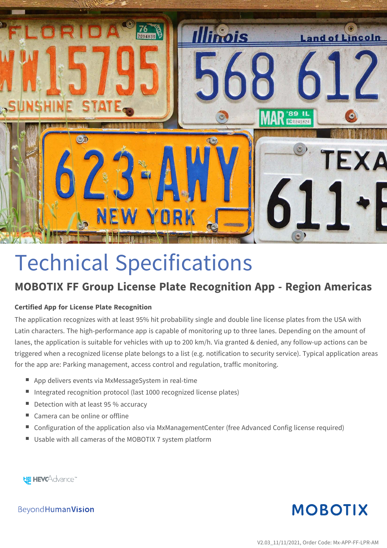

# Technical Specifications

# **MOBOTIX FF Group License Plate Recognition App - Region Americas**

#### **Certified App for License Plate Recognition**

The application recognizes with at least 95% hit probability single and double line license plates from the USA with Latin characters. The high-performance app is capable of monitoring up to three lanes. Depending on the amount of lanes, the application is suitable for vehicles with up to 200 km/h. Via granted & denied, any follow-up actions can be triggered when a recognized license plate belongs to a list (e.g. notification to security service). Typical application areas for the app are: Parking management, access control and regulation, traffic monitoring.

- App delivers events via MxMessageSystem in real-time
- Integrated recognition protocol (last 1000 recognized license plates)
- $\blacksquare$  Detection with at least 95 % accuracy
- $\blacksquare$  Camera can be online or offline
- Configuration of the application also via MxManagementCenter (free Advanced Config license required)
- Usable with all cameras of the MOBOTIX 7 system platform

**HE HEVCAdvance** 

**MOBOTIX** 

Beyond Human Vision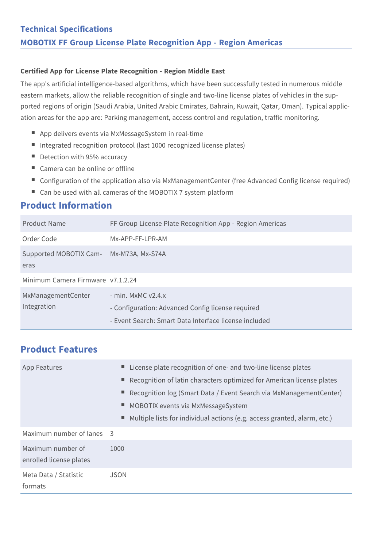#### **Certified App for License Plate Recognition - Region Middle East**

The app's artificial intelligence-based algorithms, which have been successfully tested in numerous middle eastern markets, allow the reliable recognition of single and two-line license plates of vehicles in the supported regions of origin (Saudi Arabia, United Arabic Emirates, Bahrain, Kuwait, Qatar, Oman). Typical application areas for the app are: Parking management, access control and regulation, traffic monitoring.

- App delivers events via MxMessageSystem in real-time
- Integrated recognition protocol (last 1000 recognized license plates)
- $\blacksquare$  Detection with 95% accuracy
- $\blacksquare$  Camera can be online or offline
- Configuration of the application also via MxManagementCenter (free Advanced Config license required)
- Can be used with all cameras of the MOBOTIX 7 system platform

### **Product Information**

| Product Name                                    | FF Group License Plate Recognition App - Region Americas                                                                             |
|-------------------------------------------------|--------------------------------------------------------------------------------------------------------------------------------------|
| Order Code                                      | Mx-APP-FF-LPR-AM                                                                                                                     |
| Supported MOBOTIX Cam- Mx-M73A, Mx-S74A<br>eras |                                                                                                                                      |
| Minimum Camera Firmware v7.1.2.24               |                                                                                                                                      |
| MxManagementCenter<br>Integration               | $-$ min. MxMC $v2.4.x$<br>- Configuration: Advanced Config license required<br>- Event Search: Smart Data Interface license included |

## **Product Features**

| <b>App Features</b>                          | ■ License plate recognition of one- and two-line license plates<br>■ Recognition of latin characters optimized for American license plates<br>Recognition log (Smart Data / Event Search via MxManagementCenter)<br>MOBOTIX events via MxMessageSystem<br>Multiple lists for individual actions (e.g. access granted, alarm, etc.) |
|----------------------------------------------|------------------------------------------------------------------------------------------------------------------------------------------------------------------------------------------------------------------------------------------------------------------------------------------------------------------------------------|
| Maximum number of lanes 3                    |                                                                                                                                                                                                                                                                                                                                    |
| Maximum number of<br>enrolled license plates | 1000                                                                                                                                                                                                                                                                                                                               |
| Meta Data / Statistic<br>formats             | JSON                                                                                                                                                                                                                                                                                                                               |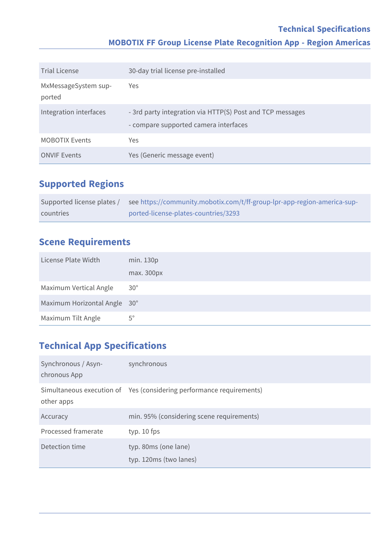## **Technical Specifications MOBOTIX FF Group License Plate Recognition App - Region Americas**

| <b>Trial License</b>           | 30-day trial license pre-installed                                                                 |
|--------------------------------|----------------------------------------------------------------------------------------------------|
| MxMessageSystem sup-<br>ported | Yes                                                                                                |
| Integration interfaces         | - 3rd party integration via HTTP(S) Post and TCP messages<br>- compare supported camera interfaces |
| <b>MOBOTIX Events</b>          | Yes                                                                                                |
| <b>ONVIF Events</b>            | Yes (Generic message event)                                                                        |

## **Supported Regions**

| Supported license plates / | see https://community.mobotix.com/t/ff-group-lpr-app-region-america-sup- |
|----------------------------|--------------------------------------------------------------------------|
| countries                  | ported-license-plates-countries/3293                                     |

## **Scene Requirements**

| License Plate Width          | min. 130p    |
|------------------------------|--------------|
|                              | max. 300px   |
| Maximum Vertical Angle       | $30^{\circ}$ |
| Maximum Horizontal Angle 30° |              |
| Maximum Tilt Angle           | $5^{\circ}$  |

## **Technical App Specifications**

| Synchronous / Asyn-<br>chronous App | synchronous                                                          |
|-------------------------------------|----------------------------------------------------------------------|
| other apps                          | Simultaneous execution of Yes (considering performance requirements) |
| Accuracy                            | min. 95% (considering scene requirements)                            |
| Processed framerate                 | typ. $10$ fps                                                        |
| Detection time                      | typ. 80ms (one lane)<br>typ. 120ms (two lanes)                       |